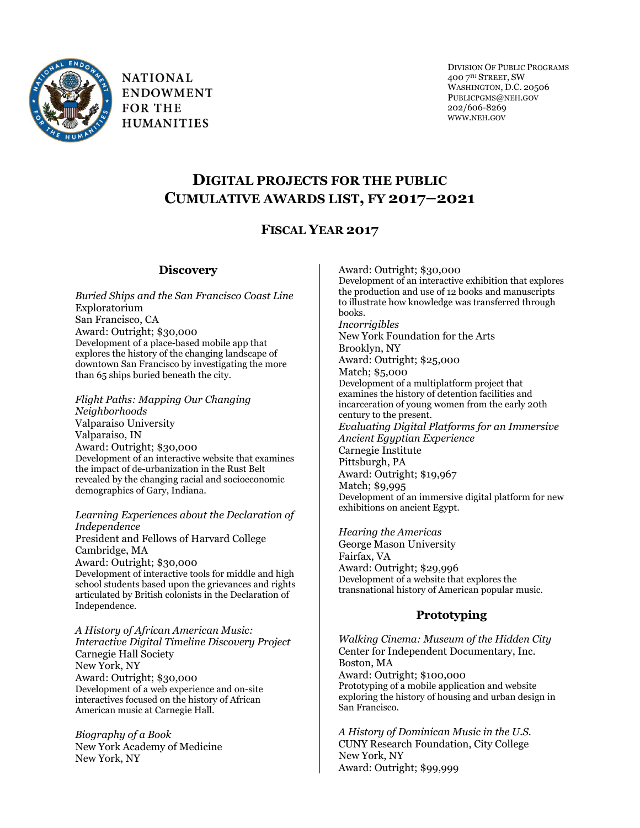

**NATIONAL ENDOWMENT FOR THE HUMANITIES** 

DIVISION OF PUBLIC PROGRAMS 400 7TH STREET, SW WASHINGTON, D.C. 20506 PUBLICPGMS@NEH.GOV 202/606-8269 WWW.NEH.GOV

# **DIGITAL PROJECTS FOR THE PUBLIC CUMULATIVE AWARDS LIST, FY 2017–2021**

## **FISCAL YEAR 2017**

## **Discovery**

*Buried Ships and the San Francisco Coast Line* Exploratorium San Francisco, CA Award: Outright; \$30,000 Development of a place-based mobile app that explores the history of the changing landscape of downtown San Francisco by investigating the more than 65 ships buried beneath the city.

*Flight Paths: Mapping Our Changing Neighborhoods* Valparaiso University Valparaiso, IN Award: Outright; \$30,000 Development of an interactive website that examines the impact of de-urbanization in the Rust Belt revealed by the changing racial and socioeconomic demographics of Gary, Indiana.

*Learning Experiences about the Declaration of Independence* President and Fellows of Harvard College Cambridge, MA

Award: Outright; \$30,000 Development of interactive tools for middle and high school students based upon the grievances and rights articulated by British colonists in the Declaration of Independence.

*A History of African American Music: Interactive Digital Timeline Discovery Project* Carnegie Hall Society New York, NY Award: Outright; \$30,000 Development of a web experience and on-site interactives focused on the history of African American music at Carnegie Hall.

*Biography of a Book* New York Academy of Medicine New York, NY

Award: Outright; \$30,000 Development of an interactive exhibition that explores the production and use of 12 books and manuscripts to illustrate how knowledge was transferred through books. *Incorrigibles* New York Foundation for the Arts Brooklyn, NY Award: Outright; \$25,000 Match; \$5,000 Development of a multiplatform project that examines the history of detention facilities and incarceration of young women from the early 20th century to the present. *Evaluating Digital Platforms for an Immersive Ancient Egyptian Experience* Carnegie Institute Pittsburgh, PA Award: Outright; \$19,967 Match; \$9,995 Development of an immersive digital platform for new exhibitions on ancient Egypt.

*Hearing the Americas* George Mason University Fairfax, VA Award: Outright; \$29,996 Development of a website that explores the transnational history of American popular music.

## **Prototyping**

*Walking Cinema: Museum of the Hidden City* Center for Independent Documentary, Inc. Boston, MA Award: Outright; \$100,000 Prototyping of a mobile application and website exploring the history of housing and urban design in San Francisco.

*A History of Dominican Music in the U.S.* CUNY Research Foundation, City College New York, NY Award: Outright; \$99,999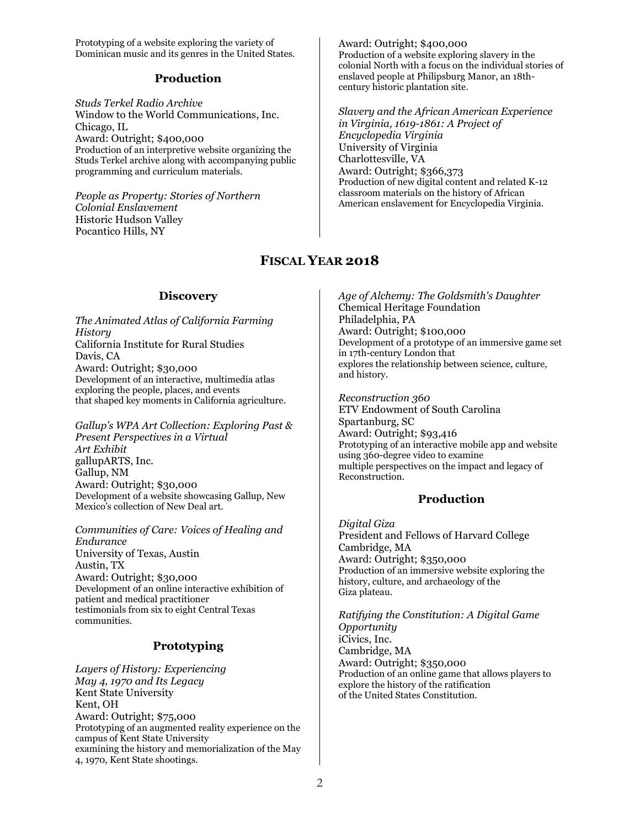Prototyping of a website exploring the variety of Dominican music and its genres in the United States.

## **Production**

*Studs Terkel Radio Archive* Window to the World Communications, Inc. Chicago, IL Award: Outright; \$400,000 Production of an interpretive website organizing the Studs Terkel archive along with accompanying public programming and curriculum materials.

*People as Property: Stories of Northern Colonial Enslavement* Historic Hudson Valley Pocantico Hills, NY

Award: Outright; \$400,000 Production of a website exploring slavery in the colonial North with a focus on the individual stories of enslaved people at Philipsburg Manor, an 18thcentury historic plantation site.

*Slavery and the African American Experience in Virginia, 1619-1861: A Project of Encyclopedia Virginia* University of Virginia Charlottesville, VA Award: Outright; \$366,373 Production of new digital content and related K-12 classroom materials on the history of African American enslavement for Encyclopedia Virginia.

## **FISCAL YEAR 2018**

### **Discovery**

*The Animated Atlas of California Farming History* California Institute for Rural Studies Davis, CA Award: Outright; \$30,000 Development of an interactive, multimedia atlas exploring the people, places, and events that shaped key moments in California agriculture.

*Gallup's WPA Art Collection: Exploring Past & Present Perspectives in a Virtual Art Exhibit* gallupARTS, Inc. Gallup, NM Award: Outright; \$30,000 Development of a website showcasing Gallup, New Mexico's collection of New Deal art.

*Communities of Care: Voices of Healing and Endurance* University of Texas, Austin Austin, TX Award: Outright; \$30,000 Development of an online interactive exhibition of patient and medical practitioner testimonials from six to eight Central Texas communities.

## **Prototyping**

*Layers of History: Experiencing May 4, 1970 and Its Legacy* Kent State University Kent, OH Award: Outright; \$75,000 Prototyping of an augmented reality experience on the campus of Kent State University examining the history and memorialization of the May 4, 1970, Kent State shootings.

*Age of Alchemy: The Goldsmith's Daughter* Chemical Heritage Foundation Philadelphia, PA Award: Outright; \$100,000 Development of a prototype of an immersive game set in 17th-century London that explores the relationship between science, culture, and history.

*Reconstruction 360* ETV Endowment of South Carolina Spartanburg, SC Award: Outright; \$93,416 Prototyping of an interactive mobile app and website using 360-degree video to examine multiple perspectives on the impact and legacy of Reconstruction.

## **Production**

*Digital Giza* President and Fellows of Harvard College Cambridge, MA Award: Outright; \$350,000 Production of an immersive website exploring the history, culture, and archaeology of the Giza plateau.

*Ratifying the Constitution: A Digital Game Opportunity* iCivics, Inc. Cambridge, MA Award: Outright; \$350,000 Production of an online game that allows players to explore the history of the ratification of the United States Constitution.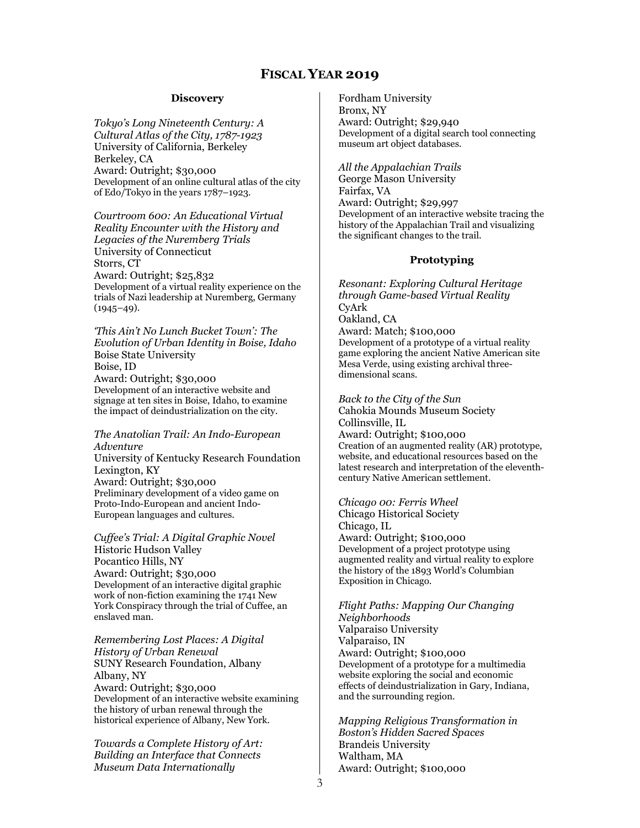#### **Discovery**

*Tokyo's Long Nineteenth Century: A Cultural Atlas of the City, 1787-1923* University of California, Berkeley Berkeley, CA Award: Outright; \$30,000 Development of an online cultural atlas of the city of Edo/Tokyo in the years 1787–1923.

*Courtroom 600: An Educational Virtual Reality Encounter with the History and Legacies of the Nuremberg Trials* University of Connecticut Storrs, CT Award: Outright; \$25,832 Development of a virtual reality experience on the trials of Nazi leadership at Nuremberg, Germany  $(1945-49)$ .

*'This Ain't No Lunch Bucket Town': The Evolution of Urban Identity in Boise, Idaho* Boise State University Boise, ID Award: Outright; \$30,000 Development of an interactive website and signage at ten sites in Boise, Idaho, to examine the impact of deindustrialization on the city.

*The Anatolian Trail: An Indo-European Adventure* University of Kentucky Research Foundation Lexington, KY Award: Outright; \$30,000 Preliminary development of a video game on Proto-Indo-European and ancient Indo-European languages and cultures.

*Cuffee's Trial: A Digital Graphic Novel* Historic Hudson Valley Pocantico Hills, NY Award: Outright; \$30,000 Development of an interactive digital graphic work of non-fiction examining the 1741 New York Conspiracy through the trial of Cuffee, an enslaved man.

*Remembering Lost Places: A Digital History of Urban Renewal* SUNY Research Foundation, Albany Albany, NY Award: Outright; \$30,000 Development of an interactive website examining the history of urban renewal through the historical experience of Albany, New York.

*Towards a Complete History of Art: Building an Interface that Connects Museum Data Internationally*

Fordham University Bronx, NY Award: Outright; \$29,940 Development of a digital search tool connecting museum art object databases.

*All the Appalachian Trails* George Mason University Fairfax, VA Award: Outright; \$29,997 Development of an interactive website tracing the history of the Appalachian Trail and visualizing the significant changes to the trail.

### **Prototyping**

*Resonant: Exploring Cultural Heritage through Game-based Virtual Reality* CyArk Oakland, CA Award: Match; \$100,000 Development of a prototype of a virtual reality game exploring the ancient Native American site Mesa Verde, using existing archival threedimensional scans.

*Back to the City of the Sun* Cahokia Mounds Museum Society Collinsville, IL Award: Outright; \$100,000 Creation of an augmented reality (AR) prototype, website, and educational resources based on the latest research and interpretation of the eleventhcentury Native American settlement.

*Chicago 00: Ferris Wheel* Chicago Historical Society Chicago, IL Award: Outright; \$100,000 Development of a project prototype using augmented reality and virtual reality to explore the history of the 1893 World's Columbian Exposition in Chicago.

*Flight Paths: Mapping Our Changing Neighborhoods* Valparaiso University Valparaiso, IN Award: Outright; \$100,000 Development of a prototype for a multimedia website exploring the social and economic effects of deindustrialization in Gary, Indiana, and the surrounding region.

*Mapping Religious Transformation in Boston's Hidden Sacred Spaces* Brandeis University Waltham, MA Award: Outright; \$100,000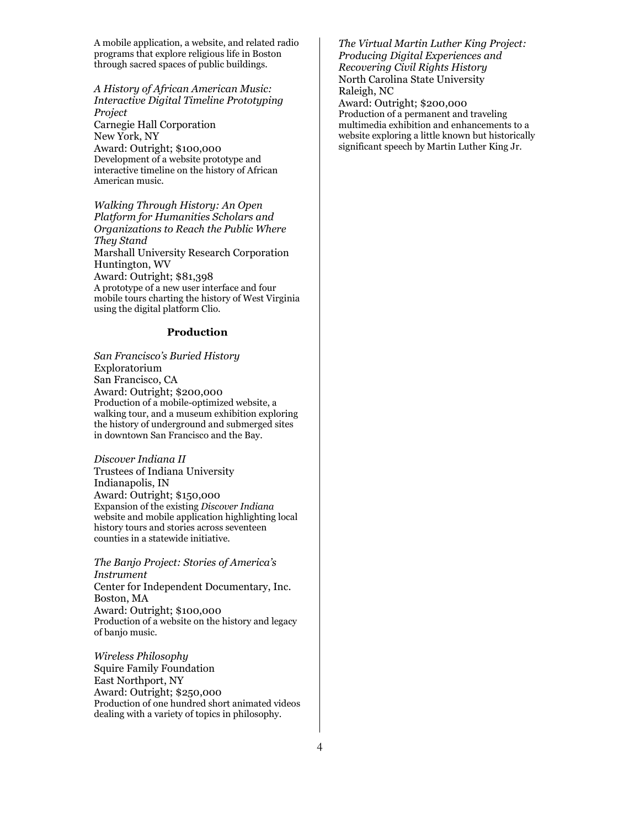A mobile application, a website, and related radio programs that explore religious life in Boston through sacred spaces of public buildings.

*A History of African American Music: Interactive Digital Timeline Prototyping Project* Carnegie Hall Corporation New York, NY Award: Outright; \$100,000 Development of a website prototype and interactive timeline on the history of African American music.

*Walking Through History: An Open Platform for Humanities Scholars and Organizations to Reach the Public Where They Stand* Marshall University Research Corporation Huntington, WV Award: Outright; \$81,398 A prototype of a new user interface and four mobile tours charting the history of West Virginia using the digital platform Clio.

#### **Production**

*San Francisco's Buried History* Exploratorium San Francisco, CA Award: Outright; \$200,000 Production of a mobile-optimized website, a walking tour, and a museum exhibition exploring the history of underground and submerged sites in downtown San Francisco and the Bay.

*Discover Indiana II* Trustees of Indiana University Indianapolis, IN Award: Outright; \$150,000 Expansion of the existing *Discover Indiana* website and mobile application highlighting local history tours and stories across seventeen counties in a statewide initiative.

*The Banjo Project: Stories of America's Instrument* Center for Independent Documentary, Inc. Boston, MA Award: Outright; \$100,000 Production of a website on the history and legacy of banjo music.

*Wireless Philosophy* Squire Family Foundation East Northport, NY Award: Outright; \$250,000 Production of one hundred short animated videos dealing with a variety of topics in philosophy.

*The Virtual Martin Luther King Project: Producing Digital Experiences and Recovering Civil Rights History* North Carolina State University Raleigh, NC

Award: Outright; \$200,000 Production of a permanent and traveling multimedia exhibition and enhancements to a website exploring a little known but historically significant speech by Martin Luther King Jr.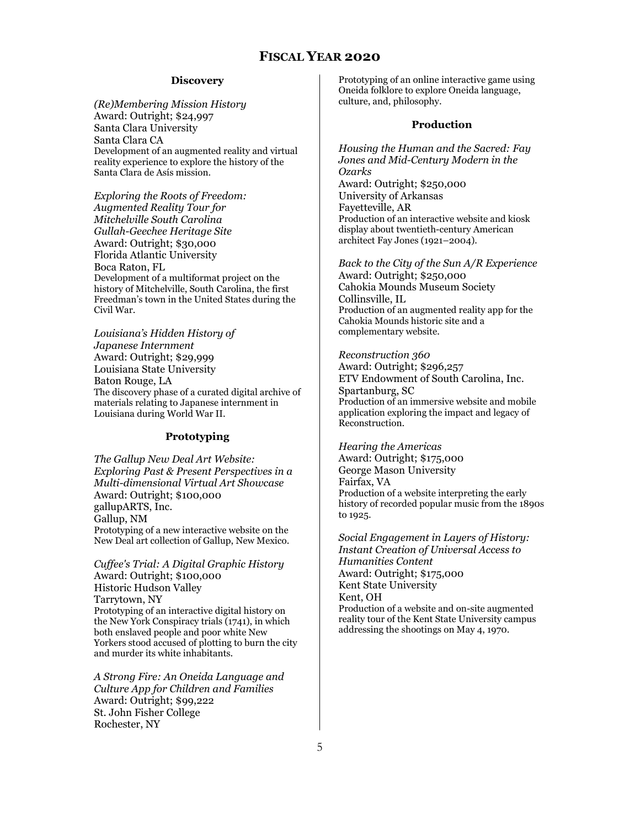#### **Discovery**

*(Re)Membering Mission History* Award: Outright; \$24,997 Santa Clara University Santa Clara CA Development of an augmented reality and virtual reality experience to explore the history of the Santa Clara de Asís mission.

*Exploring the Roots of Freedom: Augmented Reality Tour for Mitchelville South Carolina Gullah-Geechee Heritage Site* Award: Outright; \$30,000 [Florida Atlantic University](https://securegrants.neh.gov/eGMS-Admin/Institutions/ViewInstitution.aspx?InstitutionID=1003948) Boca Raton, FL Development of a multiformat project on the history of Mitchelville, South Carolina, the first Freedman's town in the United States during the Civil War.

*Louisiana's Hidden History of Japanese Internment* Award: Outright; \$29,999 [Louisiana State University](https://securegrants.neh.gov/eGMS-Admin/Institutions/ViewInstitution.aspx?InstitutionID=2009) Baton Rouge, LA The discovery phase of a curated digital archive of materials relating to Japanese internment in Louisiana during World War II.

### **Prototyping**

*The Gallup New Deal Art Website: Exploring Past & Present Perspectives in a Multi-dimensional Virtual Art Showcase* Award: Outright; \$100,000 [gallupARTS, Inc.](https://securegrants.neh.gov/eGMS-Admin/Institutions/ViewInstitution.aspx?InstitutionID=1014897) Gallup, NM Prototyping of a new interactive website on the New Deal art collection of Gallup, New Mexico.

*Cuffee's Trial: A Digital Graphic History* Award: Outright; \$100,000 [Historic Hudson Valley](https://securegrants.neh.gov/eGMS-Admin/Institutions/ViewInstitution.aspx?InstitutionID=701244) Tarrytown, NY Prototyping of an interactive digital history on the New York Conspiracy trials (1741), in which both enslaved people and poor white New Yorkers stood accused of plotting to burn the city and murder its white inhabitants.

*A Strong Fire: An Oneida Language and Culture App for Children and Families*  Award: Outright; \$99,222 [St. John Fisher College](https://securegrants.neh.gov/eGMS-Admin/Institutions/ViewInstitution.aspx?InstitutionID=2821) Rochester, NY

Prototyping of an online interactive game using Oneida folklore to explore Oneida language, culture, and, philosophy.

#### **Production**

*Housing the Human and the Sacred: Fay Jones and Mid-Century Modern in the Ozarks* Award: Outright; \$250,000 University of Arkansas Fayetteville, AR Production of an interactive website and kiosk display about twentieth-century American architect Fay Jones (1921–2004).

*Back to the City of the Sun A/R Experience* Award: Outright; \$250,000 [Cahokia Mounds Museum Society](https://securegrants.neh.gov/eGMS-Admin/Institutions/ViewInstitution.aspx?InstitutionID=1006564) Collinsville, IL Production of an augmented reality app for the Cahokia Mounds historic site and a complementary website.

*Reconstruction 360*  Award: Outright; \$296,257 [ETV Endowment of South Carolina, Inc.](https://securegrants.neh.gov/eGMS-Admin/Institutions/ViewInstitution.aspx?InstitutionID=702746) Spartanburg, SC Production of an immersive website and mobile application exploring the impact and legacy of Reconstruction.

*Hearing the Americas* Award: Outright; \$175,000 [George Mason University](https://securegrants.neh.gov/eGMS-Admin/Institutions/ViewInstitution.aspx?InstitutionID=3749) Fairfax, VA Production of a website interpreting the early history of recorded popular music from the 1890s to 1925.

*Social Engagement in Layers of History: Instant Creation of Universal Access to Humanities Content* Award: Outright; \$175,000 [Kent State University](https://securegrants.neh.gov/eGMS-Admin/Institutions/ViewInstitution.aspx?InstitutionID=3051) Kent, OH Production of a website and on-site augmented reality tour of the Kent State University campus addressing the shootings on May 4, 1970.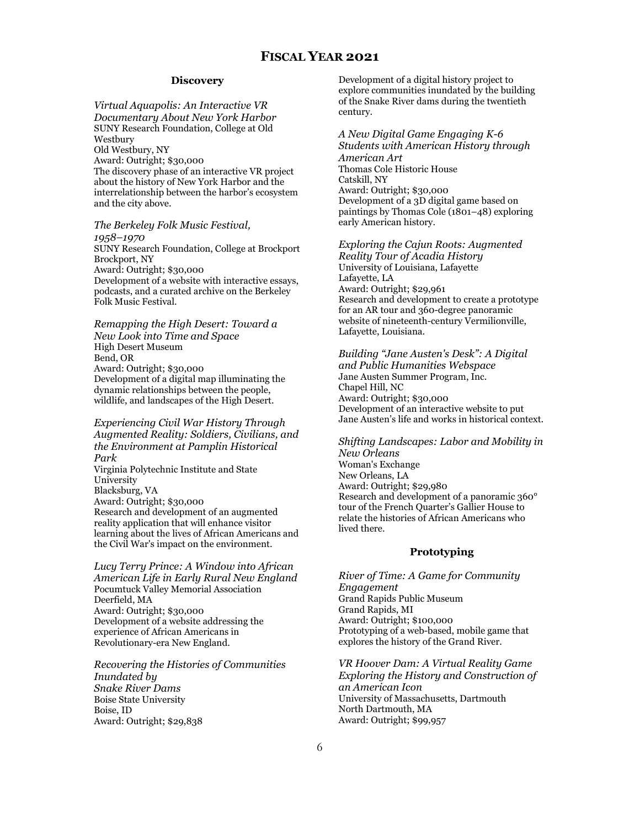#### **Discovery**

*Virtual Aquapolis: An Interactive VR Documentary About New York Harbor* SUNY Research Foundation, College at Old Westbury Old Westbury, NY Award: Outright; \$30,000 The discovery phase of an interactive VR project about the history of New York Harbor and the interrelationship between the harbor's ecosystem and the city above.

### *The Berkeley Folk Music Festival,*

*1958–1970* SUNY Research Foundation, College at Brockport Brockport, NY Award: Outright; \$30,000 Development of a website with interactive essays, podcasts, and a curated archive on the Berkeley Folk Music Festival.

*Remapping the High Desert: Toward a New Look into Time and Space* High Desert Museum Bend, OR Award: Outright; \$30,000 Development of a digital map illuminating the dynamic relationships between the people, wildlife, and landscapes of the High Desert.

*Experiencing Civil War History Through Augmented Reality: Soldiers, Civilians, and the Environment at Pamplin Historical Park* Virginia Polytechnic Institute and State University Blacksburg, VA Award: Outright; \$30,000 Research and development of an augmented reality application that will enhance visitor learning about the lives of African Americans and the Civil War's impact on the environment.

*Lucy Terry Prince: A Window into African American Life in Early Rural New England* Pocumtuck Valley Memorial Association Deerfield, MA Award: Outright; \$30,000 Development of a website addressing the experience of African Americans in Revolutionary-era New England.

*Recovering the Histories of Communities Inundated by Snake River Dams* Boise State University Boise, ID Award: Outright; \$29,838

Development of a digital history project to explore communities inundated by the building of the Snake River dams during the twentieth century.

*A New Digital Game Engaging K-6 Students with American History through American Art* Thomas Cole Historic House Catskill, NY Award: Outright; \$30,000 Development of a 3D digital game based on paintings by Thomas Cole (1801–48) exploring early American history.

*Exploring the Cajun Roots: Augmented Reality Tour of Acadia History* University of Louisiana, Lafayette Lafayette, LA Award: Outright; \$29,961 Research and development to create a prototype for an AR tour and 360-degree panoramic website of nineteenth-century Vermilionville, Lafayette, Louisiana.

*Building "Jane Austen's Desk": A Digital and Public Humanities Webspace* Jane Austen Summer Program, Inc. Chapel Hill, NC Award: Outright; \$30,000 Development of an interactive website to put Jane Austen's life and works in historical context.

*Shifting Landscapes: Labor and Mobility in New Orleans* Woman's Exchange New Orleans, LA Award: Outright; \$29,980 Research and development of a panoramic 360° tour of the French Quarter's Gallier House to relate the histories of African Americans who lived there.

#### **Prototyping**

*River of Time: A Game for Community Engagement* Grand Rapids Public Museum Grand Rapids, MI Award: Outright; \$100,000 Prototyping of a web-based, mobile game that explores the history of the Grand River.

*VR Hoover Dam: A Virtual Reality Game Exploring the History and Construction of an American Icon* University of Massachusetts, Dartmouth North Dartmouth, MA Award: Outright; \$99,957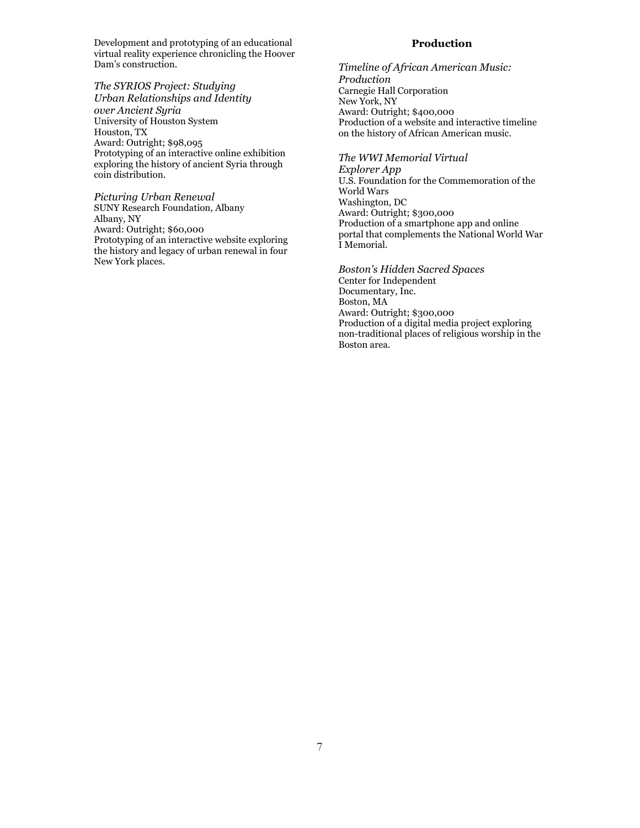Development and prototyping of an educational virtual reality experience chronicling the Hoover Dam's construction.

*The SYRIOS Project: Studying Urban Relationships and Identity over Ancient Syria* University of Houston System Houston, TX Award: Outright; \$98,095 Prototyping of an interactive online exhibition exploring the history of ancient Syria through coin distribution.

*Picturing Urban Renewal* SUNY Research Foundation, Albany Albany, NY Award: Outright; \$60,000 Prototyping of an interactive website exploring the history and legacy of urban renewal in four New York places.

### **Production**

*Timeline of African American Music: Production* Carnegie Hall Corporation New York, NY Award: Outright; \$400,000 Production of a website and interactive timeline on the history of African American music.

*The WWI Memorial Virtual* 

*Explorer App* U.S. Foundation for the Commemoration of the World Wars Washington, DC Award: Outright; \$300,000 Production of a smartphone app and online portal that complements the National World War I Memorial.

*Boston's Hidden Sacred Spaces* Center for Independent Documentary, Inc. Boston, MA Award: Outright; \$300,000 Production of a digital media project exploring non-traditional places of religious worship in the Boston area.